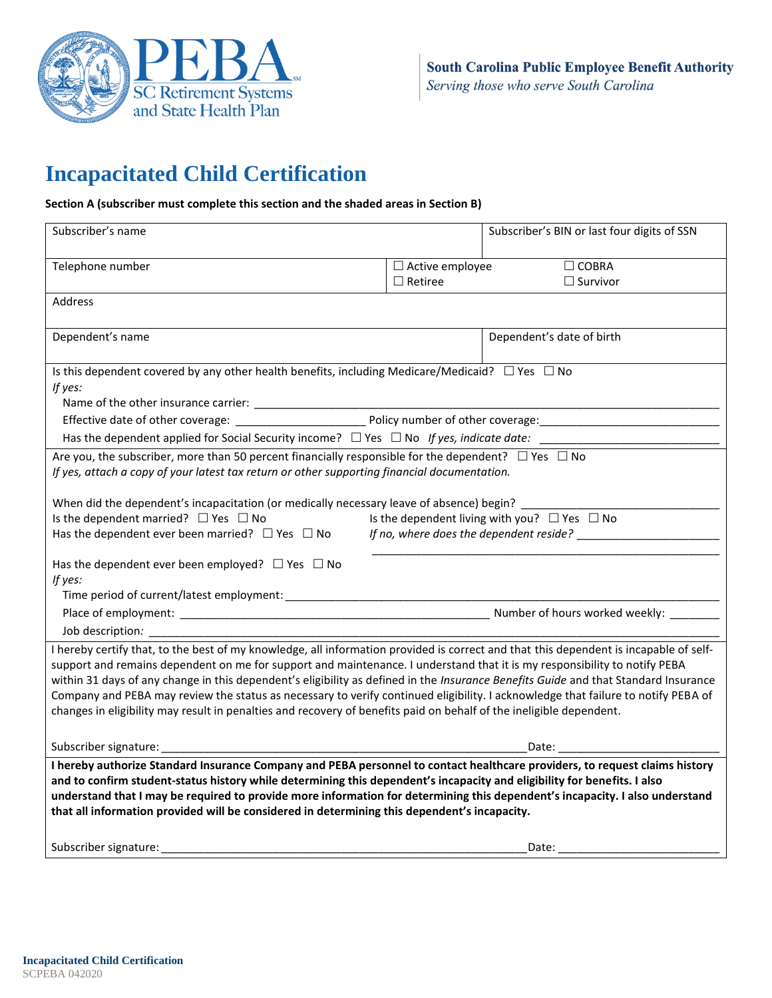

# **Incapacitated Child Certification**

### **Section A (subscriber must complete this section and the shaded areas in Section B)**

| Subscriber's name                                                                                                                                                                                                                                                        |                        | Subscriber's BIN or last four digits of SSN                                                                                                                                                                                    |  |
|--------------------------------------------------------------------------------------------------------------------------------------------------------------------------------------------------------------------------------------------------------------------------|------------------------|--------------------------------------------------------------------------------------------------------------------------------------------------------------------------------------------------------------------------------|--|
|                                                                                                                                                                                                                                                                          |                        |                                                                                                                                                                                                                                |  |
| Telephone number                                                                                                                                                                                                                                                         | $\Box$ Active employee | $\Box$ COBRA                                                                                                                                                                                                                   |  |
|                                                                                                                                                                                                                                                                          | $\Box$ Retiree         | $\Box$ Survivor                                                                                                                                                                                                                |  |
| Address                                                                                                                                                                                                                                                                  |                        |                                                                                                                                                                                                                                |  |
|                                                                                                                                                                                                                                                                          |                        |                                                                                                                                                                                                                                |  |
| Dependent's name                                                                                                                                                                                                                                                         |                        | Dependent's date of birth                                                                                                                                                                                                      |  |
|                                                                                                                                                                                                                                                                          |                        |                                                                                                                                                                                                                                |  |
| Is this dependent covered by any other health benefits, including Medicare/Medicaid? $\square$ Yes $\square$ No                                                                                                                                                          |                        |                                                                                                                                                                                                                                |  |
| If yes:                                                                                                                                                                                                                                                                  |                        |                                                                                                                                                                                                                                |  |
|                                                                                                                                                                                                                                                                          |                        |                                                                                                                                                                                                                                |  |
|                                                                                                                                                                                                                                                                          |                        |                                                                                                                                                                                                                                |  |
| Has the dependent applied for Social Security income? $\Box$ Yes $\Box$ No If yes, indicate date:                                                                                                                                                                        |                        |                                                                                                                                                                                                                                |  |
| Are you, the subscriber, more than 50 percent financially responsible for the dependent? $\Box$ Yes $\Box$ No                                                                                                                                                            |                        |                                                                                                                                                                                                                                |  |
| If yes, attach a copy of your latest tax return or other supporting financial documentation.                                                                                                                                                                             |                        |                                                                                                                                                                                                                                |  |
| When did the dependent's incapacitation (or medically necessary leave of absence) begin?                                                                                                                                                                                 |                        |                                                                                                                                                                                                                                |  |
| Is the dependent married? $\Box$ Yes $\Box$ No                                                                                                                                                                                                                           |                        | Is the dependent living with you? $\Box$ Yes $\Box$ No                                                                                                                                                                         |  |
| Has the dependent ever been married? $\Box$ Yes $\Box$ No                                                                                                                                                                                                                |                        |                                                                                                                                                                                                                                |  |
|                                                                                                                                                                                                                                                                          |                        |                                                                                                                                                                                                                                |  |
| Has the dependent ever been employed? $\Box$ Yes $\Box$ No                                                                                                                                                                                                               |                        |                                                                                                                                                                                                                                |  |
| If yes:                                                                                                                                                                                                                                                                  |                        |                                                                                                                                                                                                                                |  |
|                                                                                                                                                                                                                                                                          |                        |                                                                                                                                                                                                                                |  |
|                                                                                                                                                                                                                                                                          |                        |                                                                                                                                                                                                                                |  |
|                                                                                                                                                                                                                                                                          |                        |                                                                                                                                                                                                                                |  |
| I hereby certify that, to the best of my knowledge, all information provided is correct and that this dependent is incapable of self-                                                                                                                                    |                        |                                                                                                                                                                                                                                |  |
| support and remains dependent on me for support and maintenance. I understand that it is my responsibility to notify PEBA                                                                                                                                                |                        |                                                                                                                                                                                                                                |  |
| within 31 days of any change in this dependent's eligibility as defined in the Insurance Benefits Guide and that Standard Insurance<br>Company and PEBA may review the status as necessary to verify continued eligibility. I acknowledge that failure to notify PEBA of |                        |                                                                                                                                                                                                                                |  |
| changes in eligibility may result in penalties and recovery of benefits paid on behalf of the ineligible dependent.                                                                                                                                                      |                        |                                                                                                                                                                                                                                |  |
|                                                                                                                                                                                                                                                                          |                        |                                                                                                                                                                                                                                |  |
|                                                                                                                                                                                                                                                                          |                        | Date: the contract of the contract of the contract of the contract of the contract of the contract of the contract of the contract of the contract of the contract of the contract of the contract of the contract of the cont |  |
| I hereby authorize Standard Insurance Company and PEBA personnel to contact healthcare providers, to request claims history                                                                                                                                              |                        |                                                                                                                                                                                                                                |  |
| and to confirm student-status history while determining this dependent's incapacity and eligibility for benefits. I also                                                                                                                                                 |                        |                                                                                                                                                                                                                                |  |
| understand that I may be required to provide more information for determining this dependent's incapacity. I also understand                                                                                                                                             |                        |                                                                                                                                                                                                                                |  |
| that all information provided will be considered in determining this dependent's incapacity.                                                                                                                                                                             |                        |                                                                                                                                                                                                                                |  |
|                                                                                                                                                                                                                                                                          |                        |                                                                                                                                                                                                                                |  |
| Subscriber signature:                                                                                                                                                                                                                                                    |                        | Date:                                                                                                                                                                                                                          |  |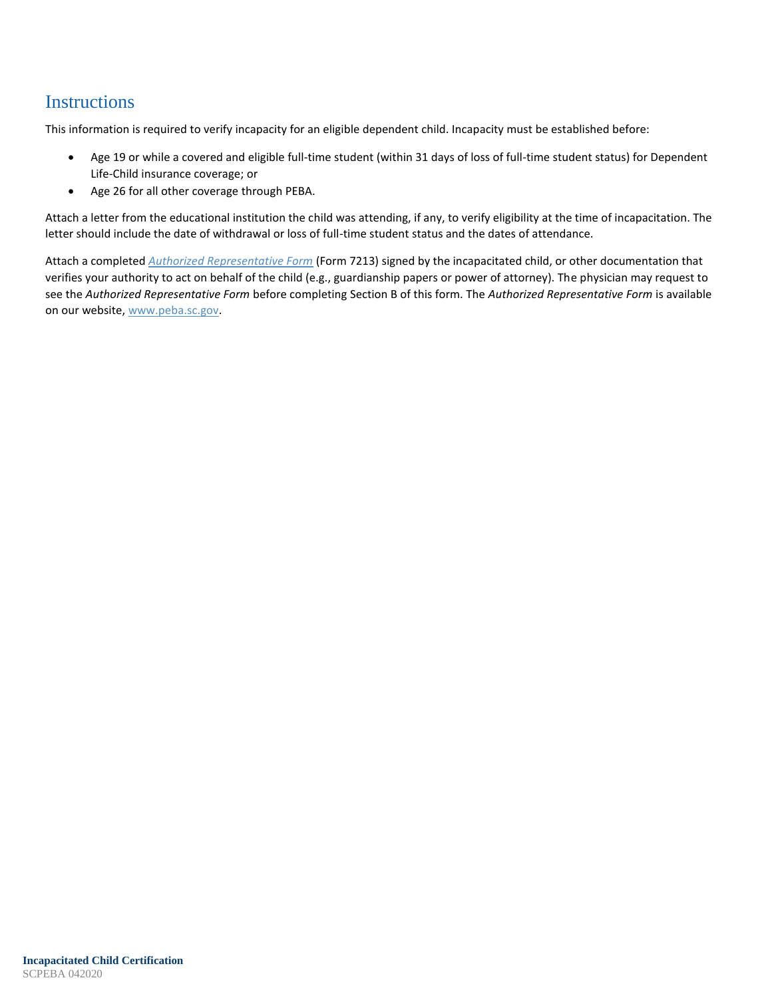# **Instructions**

This information is required to verify incapacity for an eligible dependent child. Incapacity must be established before:

- Age 19 or while a covered and eligible full-time student (within 31 days of loss of full-time student status) for Dependent Life-Child insurance coverage; or
- Age 26 for all other coverage through PEBA.

Attach a letter from the educational institution the child was attending, if any, to verify eligibility at the time of incapacitation. The letter should include the date of withdrawal or loss of full-time student status and the dates of attendance.

Attach a completed *Authorized Representative Form* (Form 7213) signed by the incapacitated child, or other documentation that verifies your authority to act on behalf of the child (e.g., guardianship papers or power of attorney). The physician may request to see the *Authorized Representative Form* before completing Section B of this form. The *Authorized Representative Form* is available on our website, www.peba.sc.gov.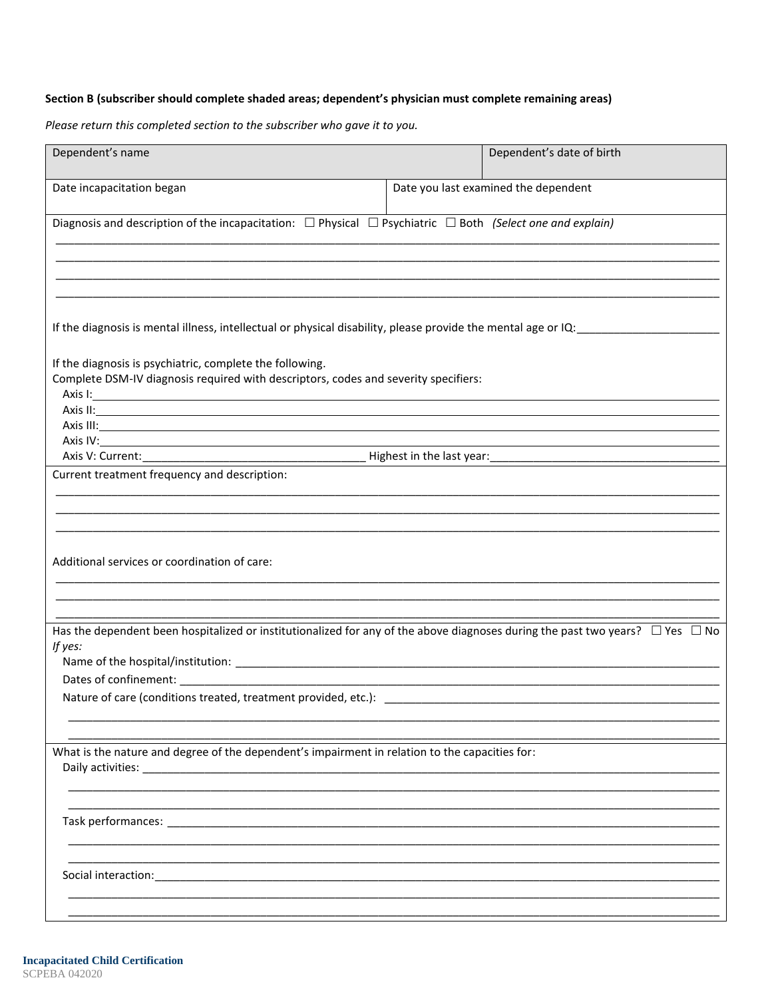## Section B (subscriber should complete shaded areas; dependent's physician must complete remaining areas)

Please return this completed section to the subscriber who gave it to you.

| Dependent's name                                                                                                                                                                                                                                                                                                                                                                        | Dependent's date of birth            |  |  |  |
|-----------------------------------------------------------------------------------------------------------------------------------------------------------------------------------------------------------------------------------------------------------------------------------------------------------------------------------------------------------------------------------------|--------------------------------------|--|--|--|
| Date incapacitation began                                                                                                                                                                                                                                                                                                                                                               | Date you last examined the dependent |  |  |  |
| Diagnosis and description of the incapacitation: $\Box$ Physical $\Box$ Psychiatric $\Box$ Both (Select one and explain)                                                                                                                                                                                                                                                                |                                      |  |  |  |
|                                                                                                                                                                                                                                                                                                                                                                                         |                                      |  |  |  |
| If the diagnosis is mental illness, intellectual or physical disability, please provide the mental age or IQ:                                                                                                                                                                                                                                                                           |                                      |  |  |  |
| If the diagnosis is psychiatric, complete the following.<br>Complete DSM-IV diagnosis required with descriptors, codes and severity specifiers:<br>Axis II: <u>Axis II: Axis II: Axis II: Axis II: Axis III: Axis III: Axis III: Axis III: Axis III: Axis III: Axis III: Axis III: Axis III: Axis III: Axis III: Axis III: Axis III: Axis III: Axis III: Axis III: Axis III: Axis I</u> |                                      |  |  |  |
|                                                                                                                                                                                                                                                                                                                                                                                         |                                      |  |  |  |
| Current treatment frequency and description:                                                                                                                                                                                                                                                                                                                                            |                                      |  |  |  |
|                                                                                                                                                                                                                                                                                                                                                                                         |                                      |  |  |  |
| Additional services or coordination of care:                                                                                                                                                                                                                                                                                                                                            |                                      |  |  |  |
|                                                                                                                                                                                                                                                                                                                                                                                         |                                      |  |  |  |
| Has the dependent been hospitalized or institutionalized for any of the above diagnoses during the past two years? $\Box$ Yes $\Box$ No<br>If yes:                                                                                                                                                                                                                                      |                                      |  |  |  |
| Nature of care (conditions treated, treatment provided, etc.):                                                                                                                                                                                                                                                                                                                          |                                      |  |  |  |
| What is the nature and degree of the dependent's impairment in relation to the capacities for:                                                                                                                                                                                                                                                                                          |                                      |  |  |  |
| Daily activities:<br><u> 1989 - Johann John Stone, markin fizikar (</u>                                                                                                                                                                                                                                                                                                                 |                                      |  |  |  |
|                                                                                                                                                                                                                                                                                                                                                                                         |                                      |  |  |  |
| Social interaction:                                                                                                                                                                                                                                                                                                                                                                     |                                      |  |  |  |
|                                                                                                                                                                                                                                                                                                                                                                                         |                                      |  |  |  |